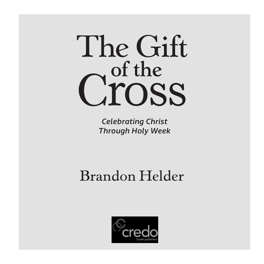# The Gift<br> **C**ross

*Celebrating Christ Through Holy Week*

# Brandon Helder

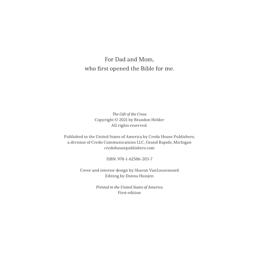For Dad and Mom, who first opened the Bible for me.

> The Gift of the Cross Copyright © 2021 by Brandon Helder All rights reserved.

Published in the United States of America by Credo House Publishers, a division of Credo Communications LLC, Grand Rapids, Michigan credohousepublishers.com

ISBN: 978-1-62586-203-7

Cover and interior design by Sharon VanLoozenoord Editing by Donna Huisjen

> Printed in the United States of America First edition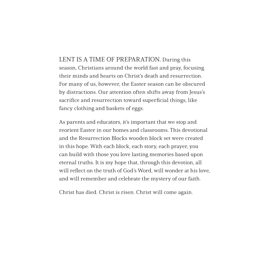LENT IS A TIME OF PREPARATION. During this season, Christians around the world fast and pray, focusing their minds and hearts on Christ's death and resurrection. For many of us, however, the Easter season can be obscured by distractions. Our attention often shifts away from Jesus's sacrifice and resurrection toward superficial things, like fancy clothing and baskets of eggs.

As parents and educators, it's important that we stop and reorient Easter in our homes and classrooms. This devotional and the Resurrection Blocks wooden block set were created in this hope. With each block, each story, each prayer, you can build with those you love lasting memories based upon eternal truths. It is my hope that, through this devotion, all will reflect on the truth of God's Word, will wonder at his love, and will remember and celebrate the mystery of our faith.

Christ has died. Christ is risen. Christ will come again.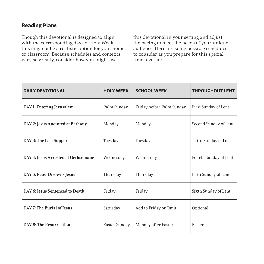### **Reading Plans**

Though this devotional is designed to align with the corresponding days of Holy Week, this may not be a realistic option for your home or classroom. Because schedules and contexts vary so greatly, consider how you might use

this devotional in your setting and adjust the pacing to meet the needs of your unique audience. Here are some possible schedules to consider as you prepare for this special time together.

| <b>DAILY DEVOTIONAL</b>             | <b>HOLY WEEK</b> | <b>SCHOOL WEEK</b>        | <b>THROUGHOUT LENT</b> |
|-------------------------------------|------------------|---------------------------|------------------------|
| DAY 1: Entering Jerusalem           | Palm Sunday      | Friday before Palm Sunday | First Sunday of Lent   |
| DAY 2: Jesus Anointed at Bethany    | Monday           | Monday                    | Second Sunday of Lent  |
| DAY 3: The Last Supper              | Tuesday          | Tuesday                   | Third Sunday of Lent   |
| DAY 4: Jesus Arrested at Gethsemane | Wednesday        | Wednesday                 | Fourth Sunday of Lent  |
| DAY 5: Peter Disowns Jesus          | Thursday         | Thursday                  | Fifth Sunday of Lent   |
| DAY 6: Jesus Sentenced to Death     | Friday           | Friday                    | Sixth Sunday of Lent   |
| DAY 7: The Burial of Jesus          | Saturday         | Add to Friday or Omit     | Optional               |
| <b>DAY 8: The Resurrection</b>      | Easter Sunday    | Monday after Easter       | Easter                 |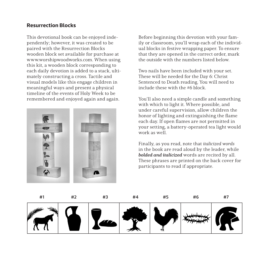### **Resurrection Blocks**

This devotional book can be enjoyed independently; however, it was created to be paired with the Resurrection Blocks wooden block set available for purchase at www.worshipwoodworks.com. When using this kit, a wooden block corresponding to each daily devotion is added to a stack, ultimately constructing a cross. Tactile and visual models like this engage children in meaningful ways and present a physical timeline of the events of Holy Week to be remembered and enjoyed again and again.



Before beginning this devotion with your family or classroom, you'll wrap each of the individual blocks in festive wrapping paper. To ensure that they are opened in the correct order, mark the outside with the numbers listed below.

Two nails have been included with your set. These will be needed for the Day 6: Christ Sentenced to Death reading. You will need to include these with the #6 block.

You'll also need a simple candle and something with which to light it. Where possible, and under careful supervision, allow children the honor of lighting and extinguishing the flame each day. If open flames are not permitted in your setting, a battery-operated tea light would work as well.

Finally, as you read, note that italicized words in the book are read aloud by the leader, while **bolded and italicized** words are recited by all. These phrases are printed on the back cover for participants to read if appropriate.

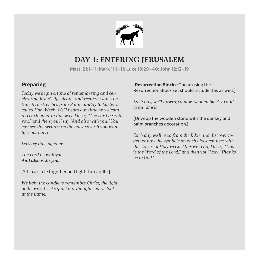

## **DAY 1: ENTERING JERUSALEM**

Matt. 21:1–11; Mark 11:1–11; Luke 19:29–40; John 12:12–19

### **Preparing**

Today we begin a time of remembering and celebrating Jesus's life, death, and resurrection. The time that stretches from Palm Sunday to Easter is called Holy Week. We'll begin our time by welcoming each other in this way: I'll say "The Lord be with you," and then you'll say "And also with you." You can see this written on the back cover if you want to read along.

Let's try this together:

The Lord be with you And also with you.

[Sit in a circle together and light the candle.]

We light the candle to remember Christ, the light of the world. Let's quiet our thoughts as we look at the flame.

### [**Resurrection Blocks:** Those using the Resurrection Block set should include this as well:]

Each day, we'll unwrap a new wooden block to add to our stack.

[Unwrap the wooden stand with the donkey and palm branches decoration.]

Each day we'll read from the Bible and discover together how the symbols on each block connect with the stories of Holy week. After we read, I'll say "This is the Word of the Lord," and then you'll say "Thanks be to God."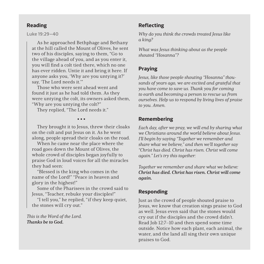### **Reading**

### Luke 19:29–40

As he approached Bethphage and Bethany at the hill called the Mount of Olives, he sent two of his disciples, saying to them, "Go to the village ahead of you, and as you enter it, you will find a colt tied there, which no one has ever ridden. Untie it and bring it here. If anyone asks you, 'Why are you untying it?' say, 'The Lord needs it.'"

Those who were sent ahead went and found it just as he had told them. As they were untying the colt, its owners asked them, "Why are you untying the colt?"

They replied, "The Lord needs it."

■ ■ ■

They brought it to Jesus, threw their cloaks on the colt and put Jesus on it. As he went along, people spread their cloaks on the road.

When he came near the place where the road goes down the Mount of Olives, the whole crowd of disciples began joyfully to praise God in loud voices for all the miracles they had seen:

"Blessed is the king who comes in the name of the Lord!" "Peace in heaven and glory in the highest!"

Some of the Pharisees in the crowd said to Jesus, "Teacher, rebuke your disciples!"

"I tell you," he replied, "if they keep quiet, the stones will cry out."

This is the Word of the Lord. Thanks be to God.

### **Reflecting**

Why do you think the crowds treated Jesus like a king?

What was Jesus thinking about as the people shouted "Hosanna"?

### **Praying**

Jesus, like those people shouting "Hosanna" thousands of years ago, we are excited and grateful that you have come to save us. Thank you for coming to earth and becoming a person to rescue us from ourselves. Help us to respond by living lives of praise to you. Amen.

### **Remembering**

Each day, after we pray, we will end by sharing what we Christians around the world believe about Jesus. I'll begin by saying "Together we remember and share what we believe," and then we'll together say "Christ has died. Christ has risen. Christ will come again." Let's try this together:

Together we remember and share what we believe: Christ has died. Christ has risen. Christ will come again.

### **Responding**

Just as the crowd of people shouted praise to Jesus, we know that creation sings praise to God as well. Jesus even said that the stones would cry out if the disciples and the crowd didn't. Read Job 12:7–10 and then spend some time outside. Notice how each plant, each animal, the water, and the land all sing their own unique praises to God.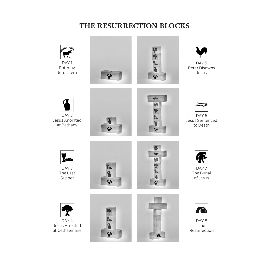# **THE RESURRECTION BLOCKS**



Entering Jerusalem







DAY<sub>5</sub> Peter Disowns Jesus









DAY<sub>6</sub> Jesus Sentenced to Death



DAY 3 The Last Supper







DAY<sub>7</sub> The Burial of Jesus



DAY 4 Jesus Arrested at Gethsemane







DAY 8 The Resurrection